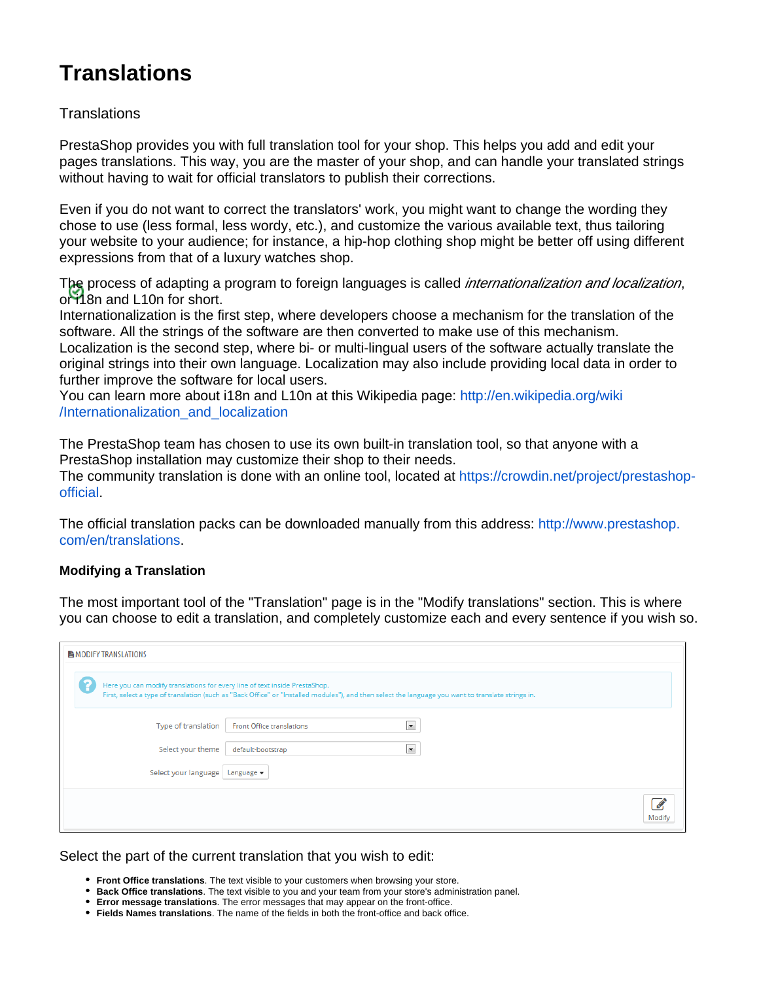# **Translations**

## **Translations**

PrestaShop provides you with full translation tool for your shop. This helps you add and edit your pages translations. This way, you are the master of your shop, and can handle your translated strings without having to wait for official translators to publish their corrections.

Even if you do not want to correct the translators' work, you might want to change the wording they chose to use (less formal, less wordy, etc.), and customize the various available text, thus tailoring your website to your audience; for instance, a hip-hop clothing shop might be better off using different expressions from that of a luxury watches shop.

The process of adapting a program to foreign languages is called *internationalization and localization*, or 18n and L10n for short.

Internationalization is the first step, where developers choose a mechanism for the translation of the software. All the strings of the software are then converted to make use of this mechanism. Localization is the second step, where bi- or multi-lingual users of the software actually translate the original strings into their own language. Localization may also include providing local data in order to further improve the software for local users.

You can learn more about i18n and L10n at this Wikipedia page: [http://en.wikipedia.org/wiki](http://en.wikipedia.org/wiki/Internationalization_and_localization) [/Internationalization\\_and\\_localization](http://en.wikipedia.org/wiki/Internationalization_and_localization)

The PrestaShop team has chosen to use its own built-in translation tool, so that anyone with a PrestaShop installation may customize their shop to their needs.

The community translation is done with an online tool, located at [https://crowdin.net/project/prestashop](https://crowdin.net/project/prestashop-official)[official.](https://crowdin.net/project/prestashop-official)

The official translation packs can be downloaded manually from this address: [http://www.prestashop.](http://www.prestashop.com/en/translations) [com/en/translations.](http://www.prestashop.com/en/translations)

## **Modifying a Translation**

The most important tool of the "Translation" page is in the "Modify translations" section. This is where you can choose to edit a translation, and completely customize each and every sentence if you wish so.

| <b>H</b> MODIFY TRANSLATIONS |                                   |                                                                                                                                                                                                                                  |                      |  |
|------------------------------|-----------------------------------|----------------------------------------------------------------------------------------------------------------------------------------------------------------------------------------------------------------------------------|----------------------|--|
|                              |                                   | Here you can modify translations for every line of text inside PrestaShop.<br>First, select a type of translation (such as "Back Office" or "Installed modules"), and then select the language you want to translate strings in. |                      |  |
|                              | Type of translation               | Front Office translations                                                                                                                                                                                                        | $\blacksquare$       |  |
|                              | Select your theme                 | default-bootstrap                                                                                                                                                                                                                | $\blacktriangledown$ |  |
|                              | Select your language   Language ▼ |                                                                                                                                                                                                                                  |                      |  |
|                              |                                   |                                                                                                                                                                                                                                  |                      |  |

## Select the part of the current translation that you wish to edit:

- **Front Office translations**. The text visible to your customers when browsing your store.
- **Back Office translations**. The text visible to you and your team from your store's administration panel.
- **Error message translations**. The error messages that may appear on the front-office.
- **Fields Names translations**. The name of the fields in both the front-office and back office.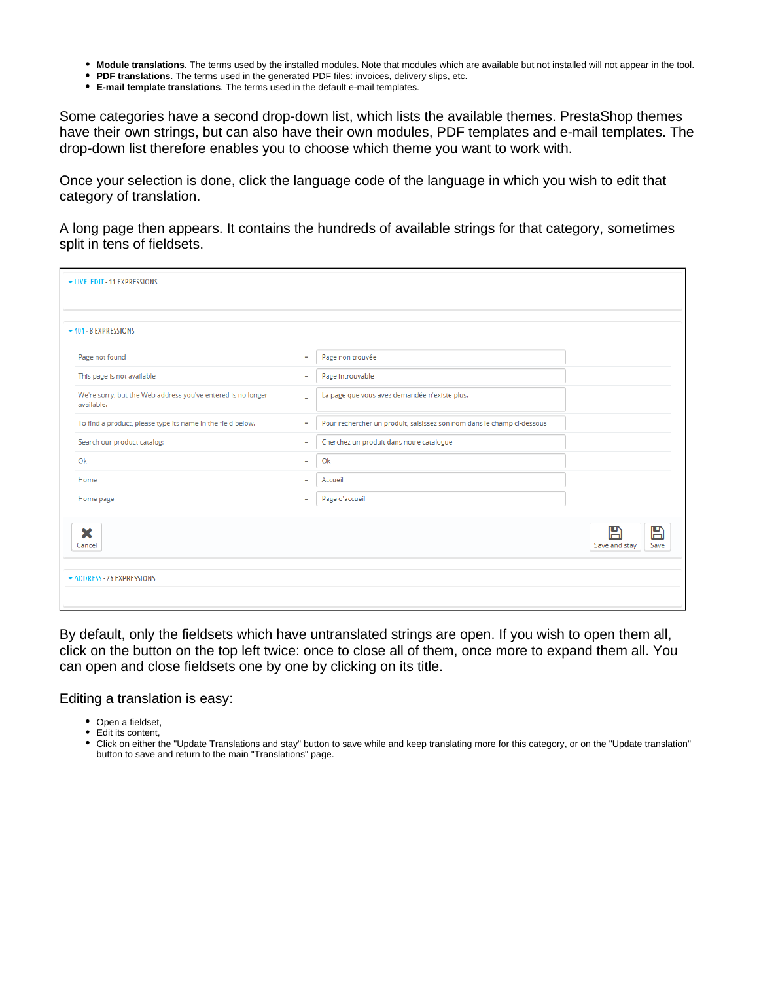- **Module translations**. The terms used by the installed modules. Note that modules which are available but not installed will not appear in the tool.
- **PDF translations**. The terms used in the generated PDF files: invoices, delivery slips, etc.
- **E-mail template translations**. The terms used in the default e-mail templates.

Some categories have a second drop-down list, which lists the available themes. PrestaShop themes have their own strings, but can also have their own modules, PDF templates and e-mail templates. The drop-down list therefore enables you to choose which theme you want to work with.

Once your selection is done, click the language code of the language in which you wish to edit that category of translation.

A long page then appears. It contains the hundreds of available strings for that category, sometimes split in tens of fieldsets.

| ▼ LIVE_EDIT - 11 EXPRESSIONS                                               |          |                                                                        |                                            |  |
|----------------------------------------------------------------------------|----------|------------------------------------------------------------------------|--------------------------------------------|--|
|                                                                            |          |                                                                        |                                            |  |
| $-404 - 8$ EXPRESSIONS                                                     |          |                                                                        |                                            |  |
| Page not found                                                             | $=$      | Page non trouvée                                                       |                                            |  |
| This page is not available                                                 | $\equiv$ | Page introuvable                                                       |                                            |  |
| We're sorry, but the Web address you've entered is no longer<br>available. | $\equiv$ | La page que vous avez demandée n'existe plus.                          |                                            |  |
| To find a product, please type its name in the field below.                | $=$      | Pour rechercher un produit, saisissez son nom dans le champ ci-dessous |                                            |  |
| Search our product catalog:                                                | $=$      | Cherchez un produit dans notre catalogue :                             |                                            |  |
| Ok                                                                         | $\equiv$ | Ok                                                                     |                                            |  |
| Home                                                                       | $=$      | Accueil                                                                |                                            |  |
| Home page                                                                  | $\equiv$ | Page d'accueil                                                         |                                            |  |
| X<br>Cancel                                                                |          |                                                                        | $\mathbb{B}$<br>冎<br>Save and stay<br>Save |  |
| ADDRESS - 26 EXPRESSIONS                                                   |          |                                                                        |                                            |  |

By default, only the fieldsets which have untranslated strings are open. If you wish to open them all, click on the button on the top left twice: once to close all of them, once more to expand them all. You can open and close fieldsets one by one by clicking on its title.

Editing a translation is easy:

- Open a fieldset,
- Edit its content,
- Click on either the "Update Translations and stay" button to save while and keep translating more for this category, or on the "Update translation" button to save and return to the main "Translations" page.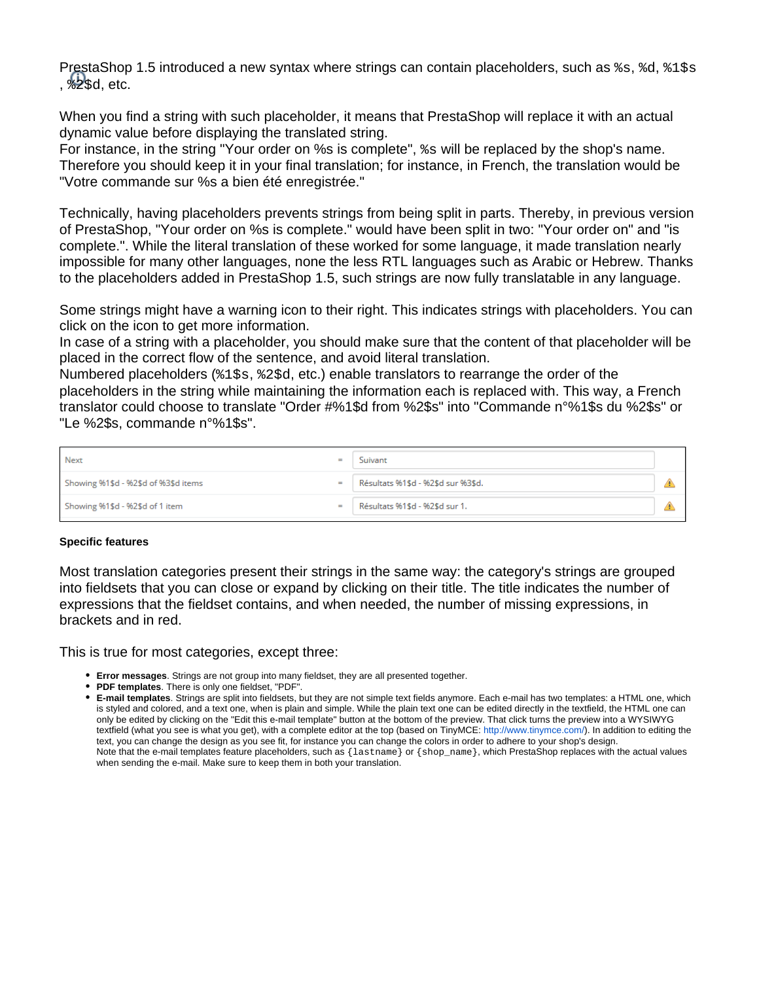PrestaShop 1.5 introduced a new syntax where strings can contain placeholders, such as  $s_s$ ,  $d_s$ ,  $1s_s$ ,  $\frac{1}{2}$ sd, etc.

When you find a string with such placeholder, it means that PrestaShop will replace it with an actual dynamic value before displaying the translated string.

For instance, in the string "Your order on %s is complete", %s will be replaced by the shop's name. Therefore you should keep it in your final translation; for instance, in French, the translation would be "Votre commande sur %s a bien été enregistrée."

Technically, having placeholders prevents strings from being split in parts. Thereby, in previous version of PrestaShop, "Your order on %s is complete." would have been split in two: "Your order on" and "is complete.". While the literal translation of these worked for some language, it made translation nearly impossible for many other languages, none the less RTL languages such as Arabic or Hebrew. Thanks to the placeholders added in PrestaShop 1.5, such strings are now fully translatable in any language.

Some strings might have a warning icon to their right. This indicates strings with placeholders. You can click on the icon to get more information.

In case of a string with a placeholder, you should make sure that the content of that placeholder will be placed in the correct flow of the sentence, and avoid literal translation.

Numbered placeholders (%1\$s, %2\$d, etc.) enable translators to rearrange the order of the placeholders in the string while maintaining the information each is replaced with. This way, a French translator could choose to translate "Order #%1\$d from %2\$s" into "Commande n°%1\$s du %2\$s" or "Le %2\$s, commande n°%1\$s".

| <b>Next</b>                          | $=$ | Suivant                            |  |
|--------------------------------------|-----|------------------------------------|--|
| Showing %1\$d - %2\$d of %3\$d items | $=$ | Résultats %1\$d - %2\$d sur %3\$d. |  |
| Showing %1\$d - %2\$d of 1 item      | $=$ | Résultats %1\$d - %2\$d sur 1.     |  |

#### **Specific features**

Most translation categories present their strings in the same way: the category's strings are grouped into fieldsets that you can close or expand by clicking on their title. The title indicates the number of expressions that the fieldset contains, and when needed, the number of missing expressions, in brackets and in red.

This is true for most categories, except three:

- **Error messages**. Strings are not group into many fieldset, they are all presented together.
- **PDF templates**. There is only one fieldset, "PDF".

**E-mail templates**. Strings are split into fieldsets, but they are not simple text fields anymore. Each e-mail has two templates: a HTML one, which is styled and colored, and a text one, when is plain and simple. While the plain text one can be edited directly in the textfield, the HTML one can only be edited by clicking on the "Edit this e-mail template" button at the bottom of the preview. That click turns the preview into a WYSIWYG textfield (what you see is what you get), with a complete editor at the top (based on TinyMCE: [http://www.tinymce.com/\)](http://www.tinymce.com/). In addition to editing the text, you can change the design as you see fit, for instance you can change the colors in order to adhere to your shop's design. Note that the e-mail templates feature placeholders, such as  $\{$  lastname  $\}$  or  $\{$  shop\_name  $\}$ , which PrestaShop replaces with the actual values when sending the e-mail. Make sure to keep them in both your translation.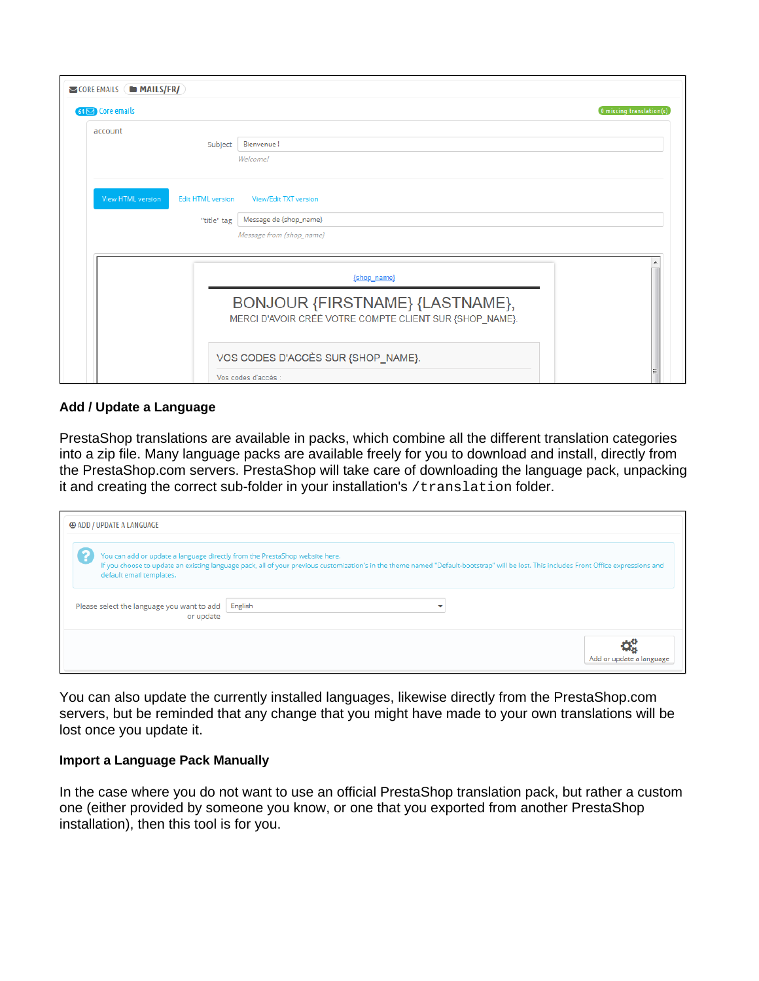| $\triangleright$ CORE EMAILS ( $\blacksquare$ <b>MAILS/FR/</b> ) |                                                                                            |
|------------------------------------------------------------------|--------------------------------------------------------------------------------------------|
| $64 \triangleright$ Core emails                                  | 0 missing translation(s)                                                                   |
| account<br>Subject                                               | Bienvenue!                                                                                 |
|                                                                  | Welcome!                                                                                   |
| View HTML version<br><b>Edit HTML version</b>                    | View/Edit TXT version                                                                      |
| "title" tag                                                      | Message de {shop_name}                                                                     |
|                                                                  | Message from {shop_name}                                                                   |
|                                                                  | {shop_name}                                                                                |
|                                                                  | BONJOUR {FIRSTNAME} {LASTNAME},<br>MERCI D'AVOIR CRÉÉ VOTRE COMPTE CLIENT SUR {SHOP_NAME}. |
|                                                                  | VOS CODES D'ACCÈS SUR {SHOP_NAME}.                                                         |
|                                                                  | Vos codes d'accès :                                                                        |

## **Add / Update a Language**

PrestaShop translations are available in packs, which combine all the different translation categories into a zip file. Many language packs are available freely for you to download and install, directly from the PrestaShop.com servers. PrestaShop will take care of downloading the language pack, unpacking it and creating the correct sub-folder in your installation's /translation folder.

| <b>@ ADD / UPDATE A LANGUAGE</b>                                                                                                                                                                                                                                                                   |         |                          |  |  |  |  |
|----------------------------------------------------------------------------------------------------------------------------------------------------------------------------------------------------------------------------------------------------------------------------------------------------|---------|--------------------------|--|--|--|--|
| You can add or update a language directly from the PrestaShop website here.<br>If you choose to update an existing language pack, all of your previous customization's in the theme named "Default-bootstrap" will be lost. This includes Front Office expressions and<br>default email templates. |         |                          |  |  |  |  |
| Please select the language you want to add<br>or update                                                                                                                                                                                                                                            | English |                          |  |  |  |  |
|                                                                                                                                                                                                                                                                                                    |         | Add or update a language |  |  |  |  |

You can also update the currently installed languages, likewise directly from the PrestaShop.com servers, but be reminded that any change that you might have made to your own translations will be lost once you update it.

## **Import a Language Pack Manually**

In the case where you do not want to use an official PrestaShop translation pack, but rather a custom one (either provided by someone you know, or one that you exported from another PrestaShop installation), then this tool is for you.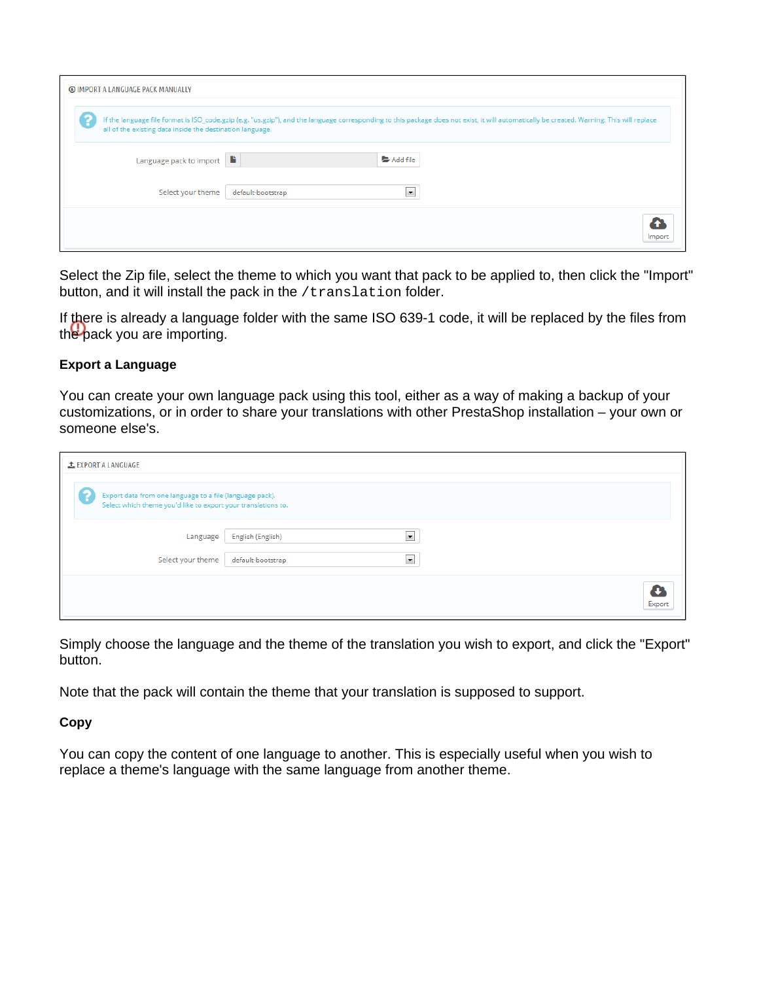| <b>@ IMPORT A LANGUAGE PACK MANUALLY</b>                                                                                                                                                                                                                |  |
|---------------------------------------------------------------------------------------------------------------------------------------------------------------------------------------------------------------------------------------------------------|--|
| If the language file format is ISO_code.gzip (e.g. "us.gzip"), and the language corresponding to this package does not exist, it will automatically be created. Warning: This will replace<br>all of the existing data inside the destination language. |  |
| Language pack to import<br>Add file                                                                                                                                                                                                                     |  |
| Select your theme<br>default-bootstrap<br>$\vert \mathbf{v} \vert$                                                                                                                                                                                      |  |
|                                                                                                                                                                                                                                                         |  |

Select the Zip file, select the theme to which you want that pack to be applied to, then click the "Import" button, and it will install the pack in the /translation folder.

If there is already a language folder with the same ISO 639-1 code, it will be replaced by the files from the pack you are importing.

## **Export a Language**

You can create your own language pack using this tool, either as a way of making a backup of your customizations, or in order to share your translations with other PrestaShop installation – your own or someone else's.

| LEXPORT A LANGUAGE                                                                                                        |                                           |        |
|---------------------------------------------------------------------------------------------------------------------------|-------------------------------------------|--------|
| Export data from one language to a file (language pack).<br>Select which theme you'd like to export your translations to. |                                           |        |
| Language                                                                                                                  | $\blacksquare$<br>English (English)       |        |
| Select your theme                                                                                                         | $\blacktriangledown$<br>default-bootstrap |        |
|                                                                                                                           |                                           | Export |

Simply choose the language and the theme of the translation you wish to export, and click the "Export" button.

Note that the pack will contain the theme that your translation is supposed to support.

**Copy**

You can copy the content of one language to another. This is especially useful when you wish to replace a theme's language with the same language from another theme.